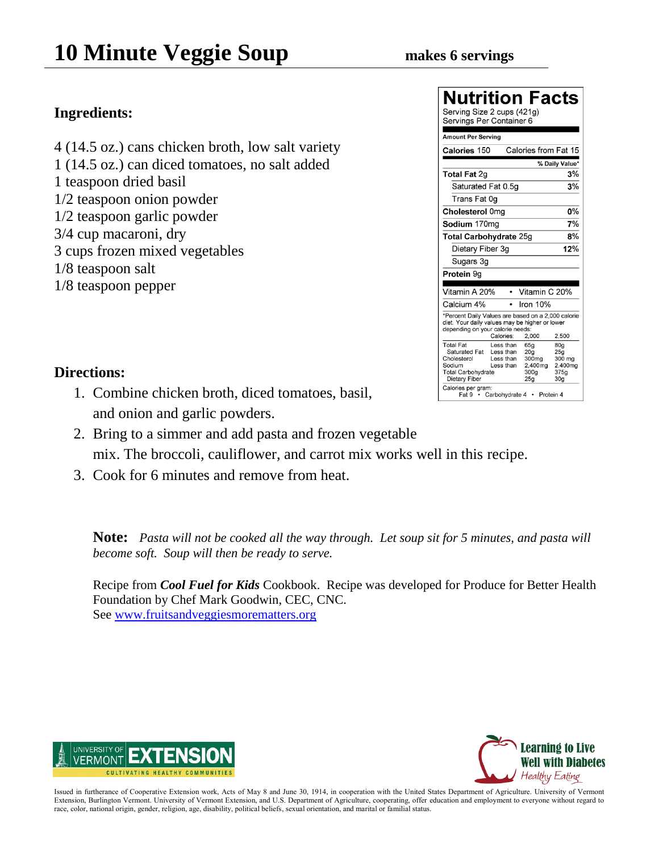$\overline{1}$   $\overline{1}$   $\overline{1}$ 

### **Ingredients:**

- 4 (14.5 oz.) cans chicken broth, low salt variety
- 1 (14.5 oz.) can diced tomatoes, no salt added
- 1 teaspoon dried basil
- 1/2 teaspoon onion powder
- 1/2 teaspoon garlic powder
- 3/4 cup macaroni, dry
- 3 cups frozen mixed vegetables
- 1/8 teaspoon salt
- 1/8 teaspoon pepper

| Nutrition                                                                                                                                |           |                      | Facts           |
|------------------------------------------------------------------------------------------------------------------------------------------|-----------|----------------------|-----------------|
| Serving Size 2 cups (421g)<br>Servings Per Container 6                                                                                   |           |                      |                 |
| Amount Per Serving                                                                                                                       |           |                      |                 |
| Calories 150                                                                                                                             |           | Calories from Fat 15 |                 |
|                                                                                                                                          |           |                      | % Daily Value*  |
| <b>Total Fat 2g</b>                                                                                                                      |           |                      | 3%              |
| Saturated Fat 0.5g                                                                                                                       |           |                      | 3%              |
| Trans Fat 0g                                                                                                                             |           |                      |                 |
| Cholesterol 0mg                                                                                                                          |           |                      | 0%              |
| Sodium 170ma                                                                                                                             |           |                      | 7%              |
| Total Carbohydrate 25g                                                                                                                   |           |                      | 8%              |
| Dietary Fiber 3g                                                                                                                         |           |                      | 12%             |
| Sugars 3g                                                                                                                                |           |                      |                 |
| Protein 9g                                                                                                                               |           |                      |                 |
| Vitamin A 20%                                                                                                                            |           | Vitamin C 20%        |                 |
| Calcium 4%                                                                                                                               | ٠         | Iron 10%             |                 |
| *Percent Daily Values are based on a 2,000 calorie<br>diet. Your daily values may be higher or lower<br>depending on your calorie needs: | Calories: |                      | 2.500           |
| <b>Total Fat</b>                                                                                                                         | Less than | 2,000<br>65q         | 80g             |
| Saturated Fat                                                                                                                            | Less than | 20 <sub>a</sub>      | 25 <sub>q</sub> |
| Cholesterol                                                                                                                              | Less than | 300 <sub>mg</sub>    | 300 mg          |
| Sodium<br><b>Total Carbohydrate</b>                                                                                                      | Less than | 2,400mg<br>300a      | 2.400mg<br>375a |
| Dietary Fiber                                                                                                                            |           | 25a                  | 30 <sub>g</sub> |
| Calories per gram:<br>Fat 9 • Carbohydrate 4 •                                                                                           |           | Protein 4            |                 |

### **Directions:**

- 1. Combine chicken broth, diced tomatoes, basil, and onion and garlic powders.
- 2. Bring to a simmer and add pasta and frozen vegetable mix. The broccoli, cauliflower, and carrot mix works well in this recipe.
- 3. Cook for 6 minutes and remove from heat.

**Note:** *Pasta will not be cooked all the way through. Let soup sit for 5 minutes, and pasta will become soft. Soup will then be ready to serve.*

Recipe from *Cool Fuel for Kids* Cookbook. Recipe was developed for Produce for Better Health Foundation by Chef Mark Goodwin, CEC, CNC. See [www.fruitsandveggiesmorematters.org](http://www.fruitsandveggiesmorematters.org/)



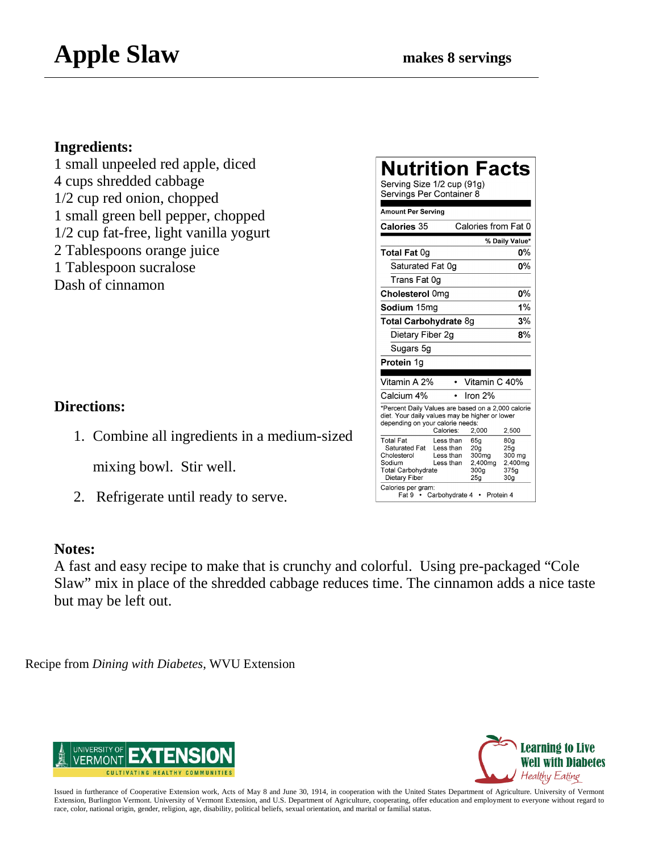1 small unpeeled red apple, diced 4 cups shredded cabbage 1/2 cup red onion, chopped 1 small green bell pepper, chopped 1/2 cup fat-free, light vanilla yogurt 2 Tablespoons orange juice 1 Tablespoon sucralose Dash of cinnamon

### **Directions:**

1. Combine all ingredients in a medium-sized

mixing bowl. Stir well.

2. Refrigerate until ready to serve.

### **Notes:**

A fast and easy recipe to make that is crunchy and colorful. Using pre-packaged "Cole Slaw" mix in place of the shredded cabbage reduces time. The cinnamon adds a nice taste but may be left out.

Recipe from *Dining with Diabetes*, WVU Extension



| Learning to Live          |
|---------------------------|
| <b>Well with Diabetes</b> |
| Healthy Eating            |

| Issued in furtherance of Cooperative Extension work, Acts of May 8 and June 30, 1914, in cooperation with the United States Department of Agriculture. University of Vermont  |
|-------------------------------------------------------------------------------------------------------------------------------------------------------------------------------|
| Extension, Burlington Vermont. University of Vermont Extension, and U.S. Department of Agriculture, cooperating, offer education and employment to everyone without regard to |
| race, color, national origin, gender, religion, age, disability, political beliefs, sexual orientation, and marital or familial status.                                       |

| Nutrition Facts<br>Serving Size 1/2 cup (91g)<br>Servings Per Container 8<br><b>Amount Per Serving</b>                                   |                                                                    |                                                                                                  |                                                                                    |
|------------------------------------------------------------------------------------------------------------------------------------------|--------------------------------------------------------------------|--------------------------------------------------------------------------------------------------|------------------------------------------------------------------------------------|
| <b>Calories 35</b>                                                                                                                       |                                                                    | Calories from Fat 0                                                                              |                                                                                    |
|                                                                                                                                          |                                                                    |                                                                                                  | % Daily Value*                                                                     |
| Total Fat 0g                                                                                                                             |                                                                    |                                                                                                  | 0%                                                                                 |
| Saturated Fat 0g                                                                                                                         |                                                                    |                                                                                                  | 0%                                                                                 |
| Trans Fat 0q                                                                                                                             |                                                                    |                                                                                                  |                                                                                    |
| Cholesterol 0mg                                                                                                                          |                                                                    |                                                                                                  | $0\%$                                                                              |
| <b>Sodium</b> 15ma                                                                                                                       |                                                                    |                                                                                                  | 1%                                                                                 |
| Total Carbohydrate 8g                                                                                                                    |                                                                    |                                                                                                  | 3%                                                                                 |
| Dietary Fiber 2g                                                                                                                         |                                                                    |                                                                                                  | 8%                                                                                 |
| Sugars 5g                                                                                                                                |                                                                    |                                                                                                  |                                                                                    |
| Protein 1g                                                                                                                               |                                                                    |                                                                                                  |                                                                                    |
| Vitamin A 2%                                                                                                                             |                                                                    | Vitamin C 40%                                                                                    |                                                                                    |
| Calcium 4%                                                                                                                               |                                                                    | Iron 2%                                                                                          |                                                                                    |
| *Percent Daily Values are based on a 2,000 calorie<br>diet. Your daily values may be higher or lower<br>depending on your calorie needs: | Calories:                                                          | 2,000                                                                                            | 2,500                                                                              |
| <b>Total Fat</b><br>Saturated Fat<br>Cholesterol<br>Sodium<br>Total Carbohydrate<br>Dietary Fiber<br>Calories per gram:<br>Fat9 •        | Less than<br>Less than<br>Less than<br>Less than<br>Carbohydrate 4 | 65q<br>20 <sub>q</sub><br>300 <sub>mg</sub><br>2,400mg<br>300g<br>25 <sub>q</sub><br>• Protein 4 | 80 <sub>q</sub><br>25a<br>300 mg<br>2,400mg<br>375 <sub>q</sub><br>30 <sub>g</sub> |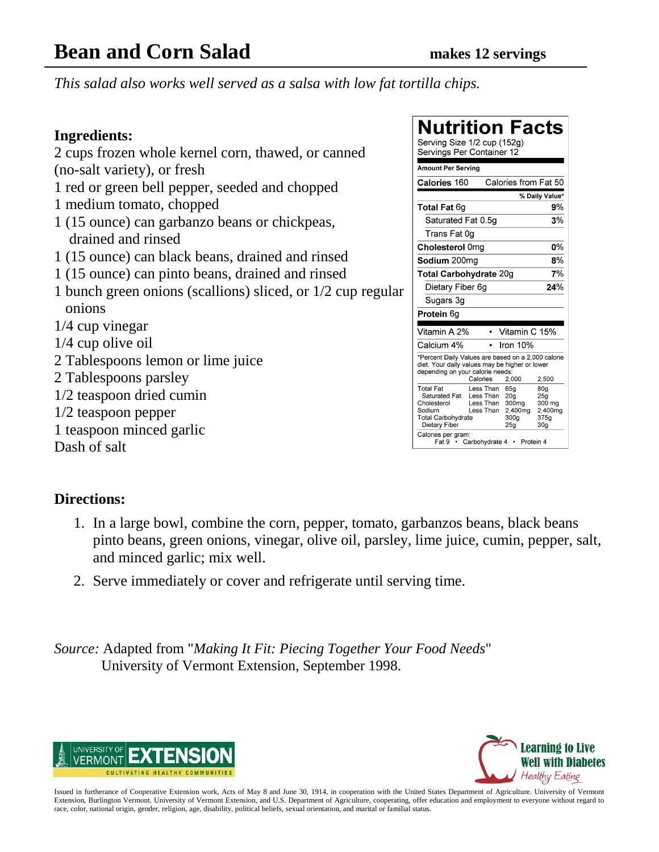### **Bean and Corn Salad makes 12 servings**

*This salad also works well served as a salsa with low fat tortilla chips.*

### **Ingredients:**

2 cups frozen whole kernel corn, thawed, or canned (no-salt variety), or fresh 1 red or green bell pepper, seeded and chopped 1 medium tomato, chopped 1 (15 ounce) can garbanzo beans or chickpeas, drained and rinsed 1 (15 ounce) can black beans, drained and rinsed 1 (15 ounce) can pinto beans, drained and rinsed 1 bunch green onions (scallions) sliced, or 1/2 cup regular onions 1/4 cup vinegar 1/4 cup olive oil 2 Tablespoons lemon or lime juice 2 Tablespoons parsley 1/2 teaspoon dried cumin 1/2 teaspoon pepper

1 teaspoon minced garlic

Dash of salt

### **Nutrition Facts**

| Serving Size 1/2 cup (152g)<br>Servings Per Container 12                                                                                 |                                                  |                                                                       |                                                                                    |
|------------------------------------------------------------------------------------------------------------------------------------------|--------------------------------------------------|-----------------------------------------------------------------------|------------------------------------------------------------------------------------|
| <b>Amount Per Serving</b>                                                                                                                |                                                  |                                                                       |                                                                                    |
| Calories 160                                                                                                                             |                                                  | Calories from Fat 50                                                  |                                                                                    |
|                                                                                                                                          |                                                  |                                                                       | % Daily Value*                                                                     |
| <b>Total Fat 6g</b>                                                                                                                      |                                                  |                                                                       | 9%                                                                                 |
| Saturated Fat 0.5g                                                                                                                       |                                                  |                                                                       | 3%                                                                                 |
| Trans Fat 0g                                                                                                                             |                                                  |                                                                       |                                                                                    |
| Cholesterol 0mg                                                                                                                          |                                                  |                                                                       | 0%                                                                                 |
| Sodium 200mg                                                                                                                             |                                                  |                                                                       | 8%                                                                                 |
| <b>Total Carbohydrate 20g</b>                                                                                                            |                                                  |                                                                       | 7%                                                                                 |
| Dietary Fiber 6q                                                                                                                         |                                                  |                                                                       | 24%                                                                                |
| Sugars 3g                                                                                                                                |                                                  |                                                                       |                                                                                    |
| Protein 6g                                                                                                                               |                                                  |                                                                       |                                                                                    |
| Vitamin A 2%                                                                                                                             |                                                  | Vitamin C 15%                                                         |                                                                                    |
|                                                                                                                                          |                                                  |                                                                       |                                                                                    |
| Calcium 4%                                                                                                                               |                                                  | Iron $10%$                                                            |                                                                                    |
| *Percent Daily Values are based on a 2,000 calorie<br>diet. Your daily values may be higher or lower<br>depending on your calorie needs: |                                                  |                                                                       |                                                                                    |
|                                                                                                                                          | Calories                                         | 2,000                                                                 | 2.500                                                                              |
| <b>Total Fat</b><br>Saturated Fat<br>Cholesterol<br>Sodium<br><b>Total Carbohydrate</b><br>Dietary Fiber                                 | Less Than<br>Less Than<br>Less Than<br>Less Than | 65a<br>20 <sub>a</sub><br>300mg<br>2.400mg<br>300a<br>25 <sub>q</sub> | 80 <sub>q</sub><br>25 <sub>q</sub><br>300 mg<br>2,400mg<br>375a<br>30 <sub>q</sub> |
| Calories per gram:                                                                                                                       | Fat 9 • Carbohydrate 4                           | Protein 4                                                             |                                                                                    |

### **Directions:**

- 1. In a large bowl, combine the corn, pepper, tomato, garbanzos beans, black beans pinto beans, green onions, vinegar, olive oil, parsley, lime juice, cumin, pepper, salt, and minced garlic; mix well.
- 2. Serve immediately or cover and refrigerate until serving time.

*Source:* Adapted from "*Making It Fit: Piecing Together Your Food Needs*" University of Vermont Extension, September 1998.



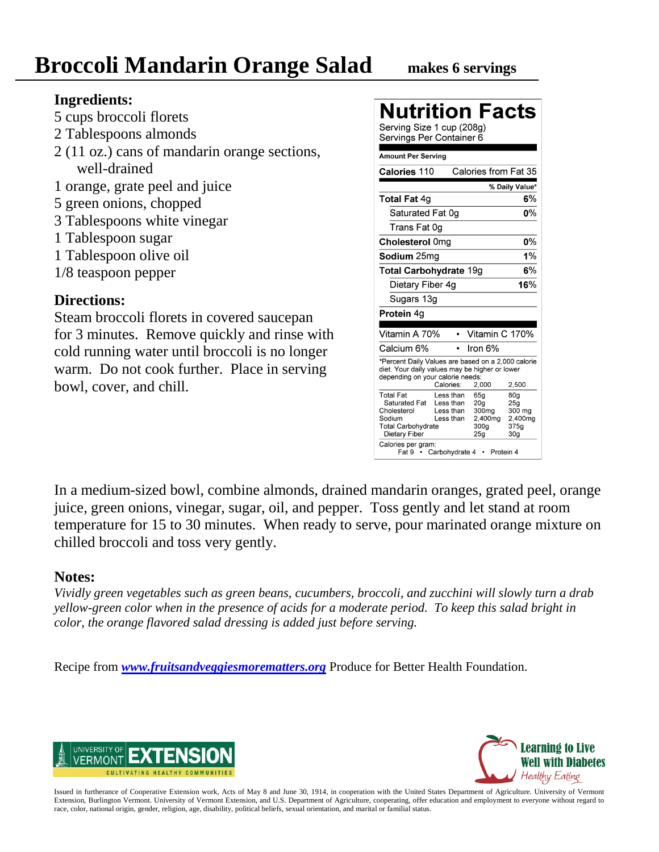- 5 cups broccoli florets
- 2 Tablespoons almonds
- 2 (11 oz.) cans of mandarin orange sections, well-drained
- 1 orange, grate peel and juice
- 5 green onions, chopped
- 3 Tablespoons white vinegar
- 1 Tablespoon sugar
- 1 Tablespoon olive oil
- 1/8 teaspoon pepper

### **Directions:**

Steam broccoli florets in covered saucepan for 3 minutes. Remove quickly and rinse with cold running water until broccoli is no longer warm. Do not cook further. Place in serving bowl, cover, and chill.

| Nutrition Facts                                                                                                                                                                                                    |                                                                                                                                      |
|--------------------------------------------------------------------------------------------------------------------------------------------------------------------------------------------------------------------|--------------------------------------------------------------------------------------------------------------------------------------|
| Serving Size 1 cup (208g)<br>Servings Per Container 6                                                                                                                                                              |                                                                                                                                      |
| <b>Amount Per Serving</b>                                                                                                                                                                                          |                                                                                                                                      |
| Calories 110                                                                                                                                                                                                       | Calories from Fat 35                                                                                                                 |
|                                                                                                                                                                                                                    | % Daily Value*                                                                                                                       |
| <b>Total Fat 4g</b>                                                                                                                                                                                                | 6%                                                                                                                                   |
| Saturated Fat 0g                                                                                                                                                                                                   | 0%                                                                                                                                   |
| Trans Fat 0q                                                                                                                                                                                                       |                                                                                                                                      |
| Cholesterol 0mg                                                                                                                                                                                                    | 0%                                                                                                                                   |
| Sodium 25mg                                                                                                                                                                                                        | 1%                                                                                                                                   |
| <b>Total Carbohydrate 19g</b>                                                                                                                                                                                      | 6%                                                                                                                                   |
| Dietary Fiber 4g                                                                                                                                                                                                   | 16%                                                                                                                                  |
| Sugars 13g                                                                                                                                                                                                         |                                                                                                                                      |
| <b>Protein 4g</b>                                                                                                                                                                                                  |                                                                                                                                      |
| Vitamin A 70%                                                                                                                                                                                                      | Vitamin C 170%                                                                                                                       |
| Calcium 6%                                                                                                                                                                                                         | lron 6%                                                                                                                              |
| *Percent Daily Values are based on a 2,000 calorie<br>diet. Your daily values may be higher or lower<br>depending on your calorie needs:<br>Calories:                                                              | 2,500<br>2,000                                                                                                                       |
| <b>Total Fat</b><br>Less than<br>Saturated Fat<br>Less than<br>Cholesterol<br>Less than<br>Sodium<br>Less than<br><b>Total Carbohydrate</b><br>Dietary Fiber<br>Calories per gram:<br>Carbohydrate 4<br>Fat 9<br>٠ | 65a<br>80a<br>20g<br>25 <sub>a</sub><br>300 <sub>mg</sub><br>300 mg<br>2,400mg<br>2,400mg<br>300g<br>375q<br>25g<br>30g<br>Protein 4 |

In a medium-sized bowl, combine almonds, drained mandarin oranges, grated peel, orange juice, green onions, vinegar, sugar, oil, and pepper. Toss gently and let stand at room temperature for 15 to 30 minutes. When ready to serve, pour marinated orange mixture on chilled broccoli and toss very gently.

### **Notes:**

*Vividly green vegetables such as green beans, cucumbers, broccoli, and zucchini will slowly turn a drab yellow-green color when in the presence of acids for a moderate period. To keep this salad bright in color, the orange flavored salad dressing is added just before serving.*

Recipe from *[www.fruitsandveggiesmorematters.org](http://www.fruitsandveggiesmorematters.org/)* Produce for Better Health Foundation.



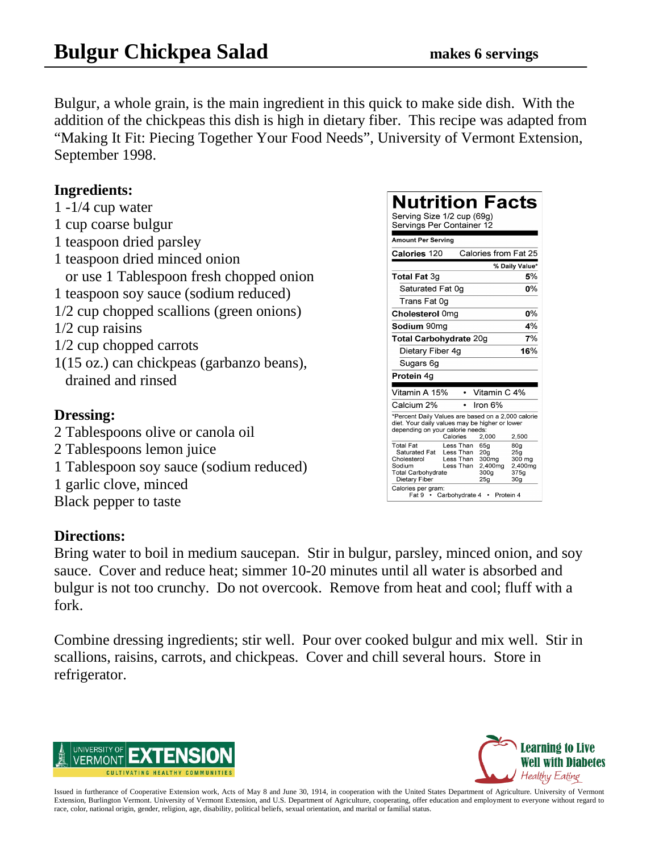Bulgur, a whole grain, is the main ingredient in this quick to make side dish. With the addition of the chickpeas this dish is high in dietary fiber. This recipe was adapted from "Making It Fit: Piecing Together Your Food Needs", University of Vermont Extension, September 1998.

#### **Ingredients:**

1 -1/4 cup water 1 cup coarse bulgur 1 teaspoon dried parsley 1 teaspoon dried minced onion or use 1 Tablespoon fresh chopped onion 1 teaspoon soy sauce (sodium reduced) 1/2 cup chopped scallions (green onions) 1/2 cup raisins 1/2 cup chopped carrots 1(15 oz.) can chickpeas (garbanzo beans), drained and rinsed

### **Dressing:**

2 Tablespoons olive or canola oil 2 Tablespoons lemon juice 1 Tablespoon soy sauce (sodium reduced) 1 garlic clove, minced Black pepper to taste

#### **Directions:**

Bring water to boil in medium saucepan. Stir in bulgur, parsley, minced onion, and soy sauce. Cover and reduce heat; simmer 10-20 minutes until all water is absorbed and bulgur is not too crunchy. Do not overcook. Remove from heat and cool; fluff with a fork.

Combine dressing ingredients; stir well. Pour over cooked bulgur and mix well. Stir in scallions, raisins, carrots, and chickpeas. Cover and chill several hours. Store in refrigerator.



| Nutrition Facts<br>Serving Size 1/2 cup (69g)<br>Servings Per Container 12                                                               |                                                  |                                                                       |                                                                        |
|------------------------------------------------------------------------------------------------------------------------------------------|--------------------------------------------------|-----------------------------------------------------------------------|------------------------------------------------------------------------|
| Amount Per Serving                                                                                                                       |                                                  |                                                                       |                                                                        |
| Calories 120                                                                                                                             |                                                  | Calories from Fat 25                                                  |                                                                        |
|                                                                                                                                          |                                                  |                                                                       | % Daily Value*                                                         |
| Total Fat 3q                                                                                                                             |                                                  |                                                                       | 5%                                                                     |
| Saturated Fat 0g                                                                                                                         |                                                  |                                                                       | ሰ%                                                                     |
| Trans Fat 0g                                                                                                                             |                                                  |                                                                       |                                                                        |
| Cholesterol 0mg                                                                                                                          |                                                  |                                                                       | 0%                                                                     |
| <b>Sodium</b> 90ma                                                                                                                       |                                                  |                                                                       | 4%                                                                     |
| Total Carbohydrate 20g                                                                                                                   |                                                  |                                                                       | 7%                                                                     |
| Dietary Fiber 4g                                                                                                                         |                                                  |                                                                       | 16%                                                                    |
| Sugars 6g                                                                                                                                |                                                  |                                                                       |                                                                        |
| Protein 4a                                                                                                                               |                                                  |                                                                       |                                                                        |
|                                                                                                                                          |                                                  |                                                                       |                                                                        |
| Vitamin A 15%                                                                                                                            |                                                  | Vitamin C 4%                                                          |                                                                        |
| Calcium 2%                                                                                                                               |                                                  | Iron 6%                                                               |                                                                        |
| *Percent Daily Values are based on a 2,000 calorie<br>diet. Your daily values may be higher or lower<br>depending on your calorie needs: | Calories                                         | 2.000                                                                 | 2,500                                                                  |
| <b>Total Fat</b><br>Saturated Fat<br>Cholesterol<br>Sodium<br><b>Total Carbohvdrate</b><br>Dietary Fiber<br>Calories per gram:           | Less Than<br>Less Than<br>Less Than<br>Less Than | 65g<br>20 <sub>q</sub><br>300mg<br>2,400mg<br>300a<br>25 <sub>g</sub> | 80q<br>25 <sub>q</sub><br>300 mg<br>2.400mg<br>375a<br>30 <sub>g</sub> |
|                                                                                                                                          | Fat 9 • Carbohydrate 4                           |                                                                       | Protein 4                                                              |

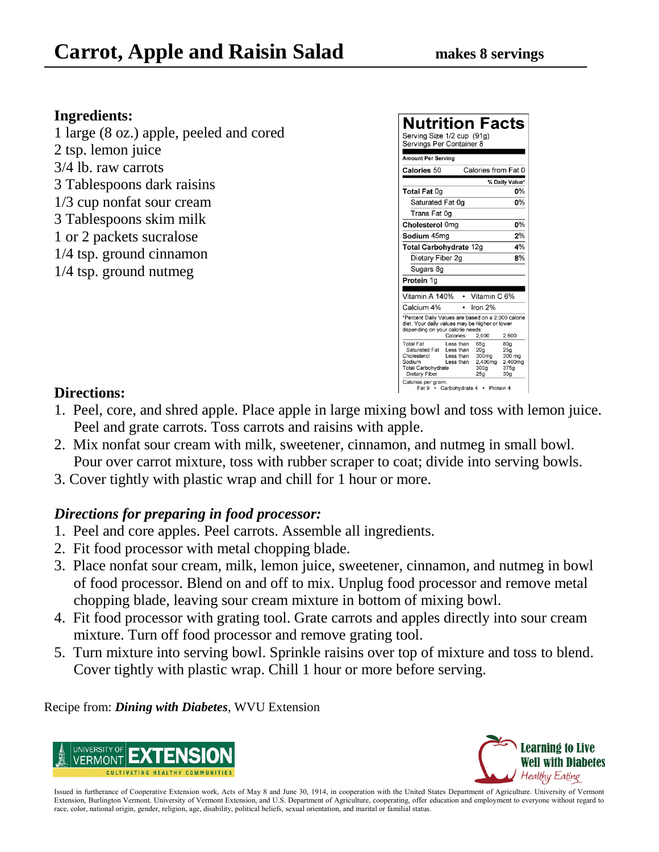1 large (8 oz.) apple, peeled and cored 2 tsp. lemon juice 3/4 lb. raw carrots 3 Tablespoons dark raisins 1/3 cup nonfat sour cream 3 Tablespoons skim milk 1 or 2 packets sucralose 1/4 tsp. ground cinnamon 1/4 tsp. ground nutmeg



### **Directions:**

- 1. Peel, core, and shred apple. Place apple in large mixing bowl and toss with lemon juice. Peel and grate carrots. Toss carrots and raisins with apple.
- 2. Mix nonfat sour cream with milk, sweetener, cinnamon, and nutmeg in small bowl. Pour over carrot mixture, toss with rubber scraper to coat; divide into serving bowls.
- 3. Cover tightly with plastic wrap and chill for 1 hour or more.

### *Directions for preparing in food processor:*

- 1. Peel and core apples. Peel carrots. Assemble all ingredients.
- 2. Fit food processor with metal chopping blade.
- 3. Place nonfat sour cream, milk, lemon juice, sweetener, cinnamon, and nutmeg in bowl of food processor. Blend on and off to mix. Unplug food processor and remove metal chopping blade, leaving sour cream mixture in bottom of mixing bowl.
- 4. Fit food processor with grating tool. Grate carrots and apples directly into sour cream mixture. Turn off food processor and remove grating tool.
- 5. Turn mixture into serving bowl. Sprinkle raisins over top of mixture and toss to blend. Cover tightly with plastic wrap. Chill 1 hour or more before serving.

Recipe from: *Dining with Diabetes*, WVU Extension



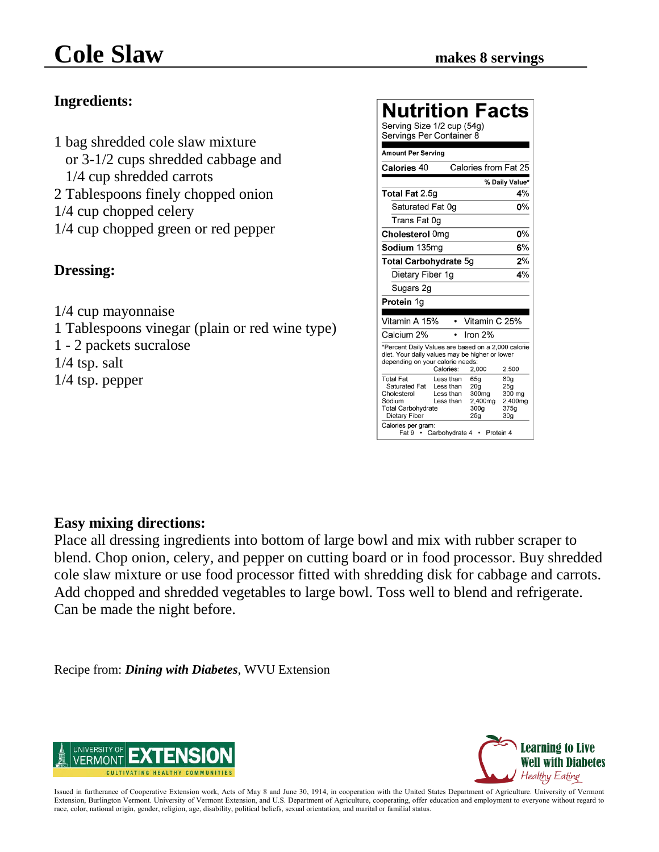1 bag shredded cole slaw mixture or 3-1/2 cups shredded cabbage and 1/4 cup shredded carrots 2 Tablespoons finely chopped onion 1/4 cup chopped celery 1/4 cup chopped green or red pepper

### **Dressing:**

1/4 cup mayonnaise 1 Tablespoons vinegar (plain or red wine type) 1 - 2 packets sucralose 1/4 tsp. salt 1/4 tsp. pepper

### Nutrition Facte

| Serving Size 1/2 cup (54g)<br>Servings Per Container 8                                                                                   |                                                  |                                                                       |                                                                        |
|------------------------------------------------------------------------------------------------------------------------------------------|--------------------------------------------------|-----------------------------------------------------------------------|------------------------------------------------------------------------|
| <b>Amount Per Serving</b>                                                                                                                |                                                  |                                                                       |                                                                        |
| Calories 40                                                                                                                              |                                                  | Calories from Fat 25                                                  |                                                                        |
|                                                                                                                                          |                                                  |                                                                       | % Daily Value*                                                         |
| <b>Total Fat 2.5g</b>                                                                                                                    |                                                  |                                                                       | 4%                                                                     |
| Saturated Fat 0g                                                                                                                         |                                                  |                                                                       | 0%                                                                     |
| Trans Fat 0q                                                                                                                             |                                                  |                                                                       |                                                                        |
| Cholesterol 0mg                                                                                                                          |                                                  |                                                                       | 0%                                                                     |
| Sodium 135ma                                                                                                                             |                                                  |                                                                       | 6%                                                                     |
| Total Carbohydrate 5g                                                                                                                    |                                                  |                                                                       | 2%                                                                     |
| Dietary Fiber 1g                                                                                                                         |                                                  |                                                                       | 4%                                                                     |
| Sugars 2g                                                                                                                                |                                                  |                                                                       |                                                                        |
| Protein 1g                                                                                                                               |                                                  |                                                                       |                                                                        |
| Vitamin A 15%                                                                                                                            |                                                  | Vitamin C 25%                                                         |                                                                        |
| Calcium 2%                                                                                                                               |                                                  | Iron $2%$                                                             |                                                                        |
| *Percent Daily Values are based on a 2,000 calorie<br>diet. Your daily values may be higher or lower<br>depending on your calorie needs: | Calories:                                        | 2,000                                                                 | 2.500                                                                  |
| <b>Total Fat</b><br>Saturated Fat<br>Cholesterol<br>Sodium<br><b>Total Carbohydrate</b><br>Dietary Fiber<br>Calories per gram:           | Less than<br>Less than<br>Less than<br>Less than | 65q<br>20 <sub>a</sub><br>300mg<br>2.400mg<br>300g<br>25 <sub>a</sub> | 80 <sub>q</sub><br>25q<br>300 mg<br>2,400mg<br>375g<br>30 <sub>a</sub> |
| Fat 9 •                                                                                                                                  | Carbohydrate 4                                   | Protein 4<br>$\bullet$                                                |                                                                        |

### **Easy mixing directions:**

Place all dressing ingredients into bottom of large bowl and mix with rubber scraper to blend. Chop onion, celery, and pepper on cutting board or in food processor. Buy shredded cole slaw mixture or use food processor fitted with shredding disk for cabbage and carrots. Add chopped and shredded vegetables to large bowl. Toss well to blend and refrigerate. Can be made the night before.

Recipe from: *Dining with Diabetes*, WVU Extension



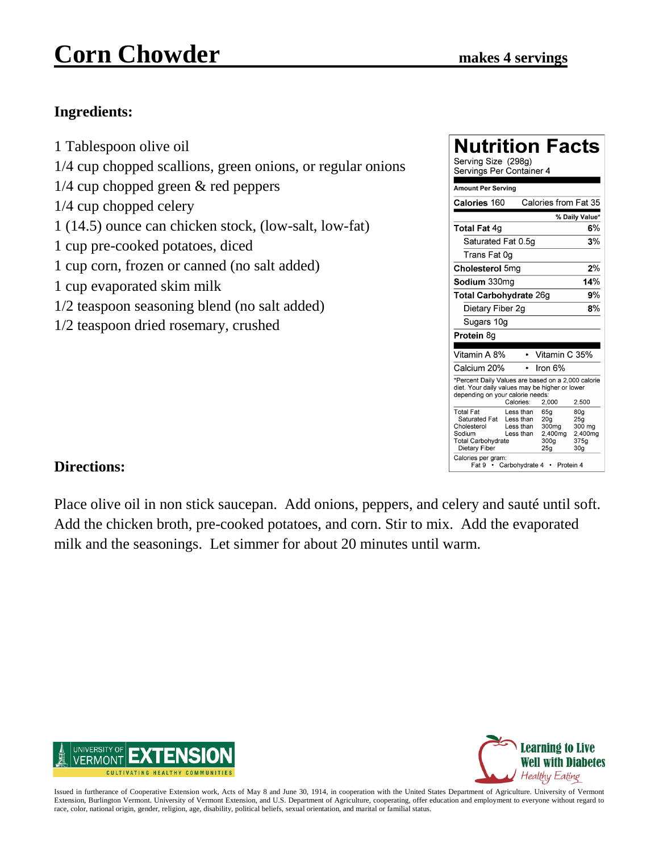## **Corn Chowder makes 4 servings**

### **Ingredients:**

1 Tablespoon olive oil 1/4 cup chopped scallions, green onions, or regular onions 1/4 cup chopped green & red peppers 1/4 cup chopped celery 1 (14.5) ounce can chicken stock, (low-salt, low-fat) 1 cup pre-cooked potatoes, diced 1 cup corn, frozen or canned (no salt added) 1 cup evaporated skim milk 1/2 teaspoon seasoning blend (no salt added) 1/2 teaspoon dried rosemary, crushed

| Nutrition Facts<br>Serving Size (298g)<br>Servings Per Container 4                                                                                       |                                                  |                                                                                                  |                                                            |
|----------------------------------------------------------------------------------------------------------------------------------------------------------|--------------------------------------------------|--------------------------------------------------------------------------------------------------|------------------------------------------------------------|
| <b>Amount Per Serving</b>                                                                                                                                |                                                  |                                                                                                  |                                                            |
| Calories 160                                                                                                                                             |                                                  | Calories from Fat 35                                                                             |                                                            |
|                                                                                                                                                          |                                                  |                                                                                                  | % Daily Value*                                             |
| <b>Total Fat 4g</b>                                                                                                                                      |                                                  |                                                                                                  | 6%                                                         |
| Saturated Fat 0.5q                                                                                                                                       |                                                  |                                                                                                  | 3%                                                         |
| Trans Fat 0q                                                                                                                                             |                                                  |                                                                                                  |                                                            |
| Cholesterol 5mg                                                                                                                                          |                                                  |                                                                                                  | 2%                                                         |
| Sodium 330mg                                                                                                                                             |                                                  |                                                                                                  | 14%                                                        |
| <b>Total Carbohydrate 26g</b>                                                                                                                            |                                                  |                                                                                                  | 9%                                                         |
| Dietary Fiber 2q                                                                                                                                         |                                                  |                                                                                                  | 8%                                                         |
| Sugars 10g                                                                                                                                               |                                                  |                                                                                                  |                                                            |
| Protein 8g                                                                                                                                               |                                                  |                                                                                                  |                                                            |
| Vitamin A 8%                                                                                                                                             |                                                  | Vitamin C 35%                                                                                    |                                                            |
| Calcium 20%                                                                                                                                              |                                                  | Iron 6%                                                                                          |                                                            |
| *Percent Daily Values are based on a 2,000 calorie<br>diet. Your daily values may be higher or lower<br>depending on your calorie needs:                 | Calories:                                        | 2,000                                                                                            | 2,500                                                      |
| <b>Total Fat</b><br>Saturated Fat<br>Cholesterol<br>Sodium<br><b>Total Carbohydrate</b><br>Dietary Fiber<br>Calories per gram:<br>Fat 9 • Carbohydrate 4 | Less than<br>Less than<br>Less than<br>Less than | 65g<br>20 <sub>a</sub><br>300 <sub>mg</sub><br>2,400mg<br>300 <sub>g</sub><br>25g<br>• Protein 4 | 80g<br>25a<br>300 mg<br>2.400mg<br>375g<br>30 <sub>q</sub> |

### **Directions:**

Place olive oil in non stick saucepan. Add onions, peppers, and celery and sauté until soft. Add the chicken broth, pre-cooked potatoes, and corn. Stir to mix. Add the evaporated milk and the seasonings. Let simmer for about 20 minutes until warm.



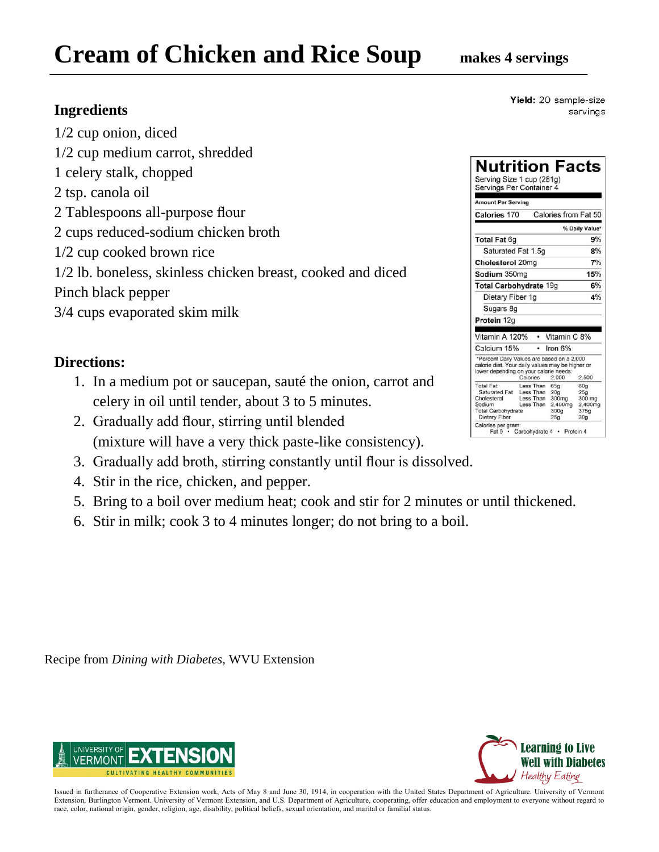# **Cream of Chicken and Rice Soup makes 4 servings**

### **Ingredients**

- 1/2 cup onion, diced 1/2 cup medium carrot, shredded 1 celery stalk, chopped 2 tsp. canola oil 2 Tablespoons all-purpose flour 2 cups reduced-sodium chicken broth 1/2 cup cooked brown rice 1/2 lb. boneless, skinless chicken breast, cooked and diced Pinch black pepper
- 3/4 cups evaporated skim milk

### **Directions:**

- 1. In a medium pot or saucepan, sauté the onion, carrot and celery in oil until tender, about 3 to 5 minutes.
- 2. Gradually add flour, stirring until blended (mixture will have a very thick paste-like consistency).
- 3. Gradually add broth, stirring constantly until flour is dissolved.
- 4. Stir in the rice, chicken, and pepper.
- 5. Bring to a boil over medium heat; cook and stir for 2 minutes or until thickened.
- 6. Stir in milk; cook 3 to 4 minutes longer; do not bring to a boil.

**Learning to 1 Well with Diabetes** Healthy Eating

Issued in furtherance of Cooperative Extension work, Acts of May 8 and June 30, 1914, in cooperation with the United States Department of Agriculture. University of Vermont Extension, Burlington Vermont. University of Vermont Extension, and U.S. Department of Agriculture, cooperating, offer education and employment to everyone without regard to race, color, national origin, gender, religion, age, disability, political beliefs, sexual orientation, and marital or familial status.

Yield: 20 sample-size servings

| Serving Size 1 cup (281g)<br>Servings Per Container 4                                          |                        |                             |                             |
|------------------------------------------------------------------------------------------------|------------------------|-----------------------------|-----------------------------|
| <b>Amount Per Serving</b>                                                                      |                        |                             |                             |
| <b>Calories 170</b>                                                                            |                        | Calories from Fat 50        |                             |
|                                                                                                |                        |                             | % Daily Value*              |
| <b>Total Fat 6g</b>                                                                            |                        |                             | 9%                          |
| Saturated Fat 1.5g                                                                             |                        |                             | 8%                          |
| Cholesterol 20mg                                                                               |                        |                             | 7%                          |
| Sodium 350mg                                                                                   |                        |                             | 15%                         |
| Total Carbohydrate 19g                                                                         |                        |                             | 6%                          |
| Dietary Fiber 1g                                                                               |                        |                             | 4%                          |
| Sugars 8q                                                                                      |                        |                             |                             |
| Protein 12g                                                                                    |                        |                             |                             |
|                                                                                                |                        |                             |                             |
| Vitamin A 120%                                                                                 |                        | • Vitamin C 8%              |                             |
| Calcium 15%                                                                                    | ٠                      | Iron 6%                     |                             |
| *Percent Daily Values are based on a 2,000<br>calorie diet. Your daily values may be higher or |                        |                             |                             |
| lower depending on your calorie needs:                                                         | Calories               | 2.000                       | 2,500                       |
| <b>Total Fat</b>                                                                               | Less Than              | 65g                         | 80q                         |
| Saturated Fat Less Than                                                                        |                        | 20 <sub>a</sub>             | 25a                         |
| Cholesterol<br>Sodium                                                                          | Less Than<br>Less Than | 300mg                       | 300 mg                      |
| <b>Total Carbohydrate</b>                                                                      |                        | 2,400mg<br>300 <sub>g</sub> | 2,400mg<br>375 <sub>q</sub> |
|                                                                                                |                        | 25 <sub>g</sub>             | 30 <sub>g</sub>             |



Recipe from *Dining with Diabetes*, WVU Extension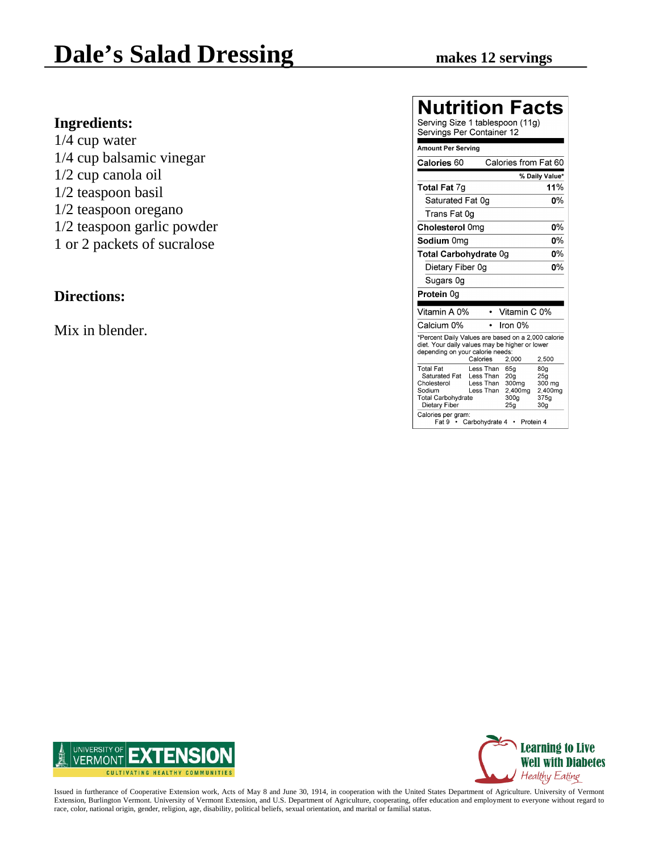**Ingredients:** 1/4 cup water 1/4 cup balsamic vinegar 1/2 cup canola oil 1/2 teaspoon basil 1/2 teaspoon oregano 1/2 teaspoon garlic powder 1 or 2 packets of sucralose

#### **Directions:**

Mix in blender.

### **Nutrition Facts**

| Serving Size 1 tablespoon (11g)<br>Servings Per Container 12                                                                              |                                                                                                                                                                                                                                                  |
|-------------------------------------------------------------------------------------------------------------------------------------------|--------------------------------------------------------------------------------------------------------------------------------------------------------------------------------------------------------------------------------------------------|
| <b>Amount Per Serving</b>                                                                                                                 |                                                                                                                                                                                                                                                  |
| Calories 60                                                                                                                               | Calories from Fat 60                                                                                                                                                                                                                             |
|                                                                                                                                           | % Daily Value*                                                                                                                                                                                                                                   |
| <b>Total Fat 7g</b>                                                                                                                       | 11%                                                                                                                                                                                                                                              |
| Saturated Fat 0g                                                                                                                          | ሰ%                                                                                                                                                                                                                                               |
| Trans Fat 0q                                                                                                                              |                                                                                                                                                                                                                                                  |
| Cholesterol 0mg                                                                                                                           | 0%                                                                                                                                                                                                                                               |
| Sodium 0mg                                                                                                                                | 0%                                                                                                                                                                                                                                               |
| Total Carbohydrate 0g                                                                                                                     | 0%                                                                                                                                                                                                                                               |
| Dietary Fiber 0g                                                                                                                          | 0%                                                                                                                                                                                                                                               |
| Sugars 0q                                                                                                                                 |                                                                                                                                                                                                                                                  |
| Protein 0g                                                                                                                                |                                                                                                                                                                                                                                                  |
| Vitamin A 0%                                                                                                                              | Vitamin C 0%                                                                                                                                                                                                                                     |
| Calcium 0%                                                                                                                                | Iron 0%                                                                                                                                                                                                                                          |
| depending on your calorie needs:<br>Calories                                                                                              | *Percent Daily Values are based on a 2,000 calorie<br>diet. Your daily values may be higher or lower<br>2,000<br>2,500                                                                                                                           |
| <b>Total Fat</b><br>Saturated Fat<br>Cholesterol<br>Sodium<br><b>Total Carbohydrate</b><br>Dietary Fiber<br>Calories per gram:<br>Fat 9 · | Less Than<br>65a<br>80a<br>Less Than<br>20 <sub>g</sub><br>25g<br>Less Than<br>300 <sub>mq</sub><br>300 mg<br>Less Than<br>2.400mg<br>2.400mg<br>300 <sub>g</sub><br>375q<br>25 <sub>q</sub><br>30 <sub>q</sub><br>Carbohydrate 4<br>• Protein 4 |



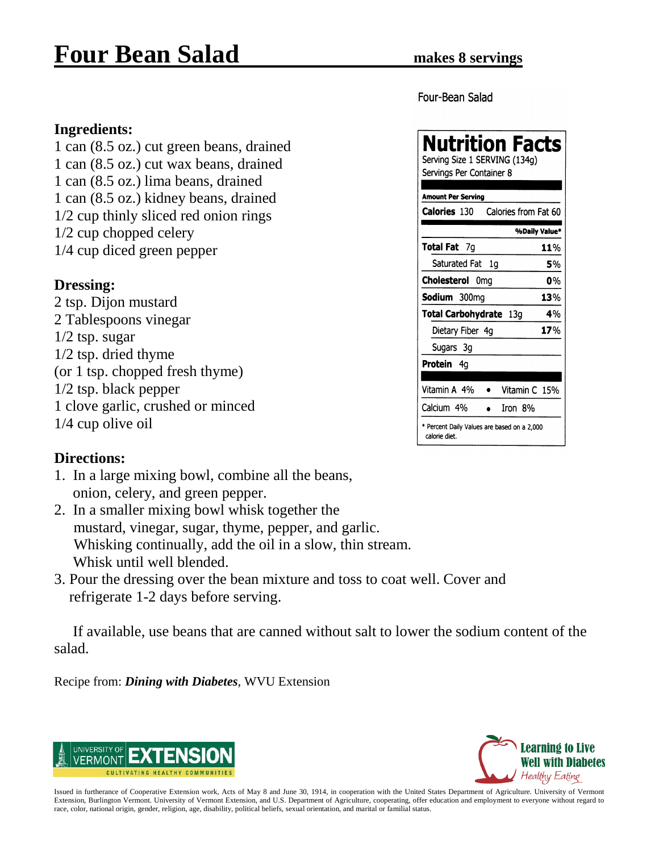### **Four Bean Salad makes 8 servings**

Four-Bean Salad

### **Ingredients:**

1 can (8.5 oz.) cut green beans, drained 1 can (8.5 oz.) cut wax beans, drained 1 can (8.5 oz.) lima beans, drained 1 can (8.5 oz.) kidney beans, drained 1/2 cup thinly sliced red onion rings 1/2 cup chopped celery 1/4 cup diced green pepper

#### **Dressing:**

2 tsp. Dijon mustard 2 Tablespoons vinegar 1/2 tsp. sugar 1/2 tsp. dried thyme (or 1 tsp. chopped fresh thyme) 1/2 tsp. black pepper 1 clove garlic, crushed or minced 1/4 cup olive oil

#### **Nutrition Facts** Serving Size 1 SERVING (134g) Servings Per Container 8 **Amount Per Serving** Calories 130 Calories from Fat 60 %Daily Value\* Total Fat 7q 11% Saturated Fat 1q 5% Cholesterol 0mg 0% Sodium 300mg 13% Total Carbohydrate 13g 4% Dietary Fiber 4q 17% Sugars 3g Protein 4q Vitamin A 4% Vitamin C 15%  $\bullet$ Calcium 4% Iron 8%

\* Percent Daily Values are based on a 2,000

calorie diet

### **Directions:**

- 1. In a large mixing bowl, combine all the beans, onion, celery, and green pepper.
- 2. In a smaller mixing bowl whisk together the mustard, vinegar, sugar, thyme, pepper, and garlic. Whisking continually, add the oil in a slow, thin stream. Whisk until well blended.
- 3. Pour the dressing over the bean mixture and toss to coat well. Cover and refrigerate 1-2 days before serving.

 If available, use beans that are canned without salt to lower the sodium content of the salad.

Recipe from: *Dining with Diabetes*, WVU Extension



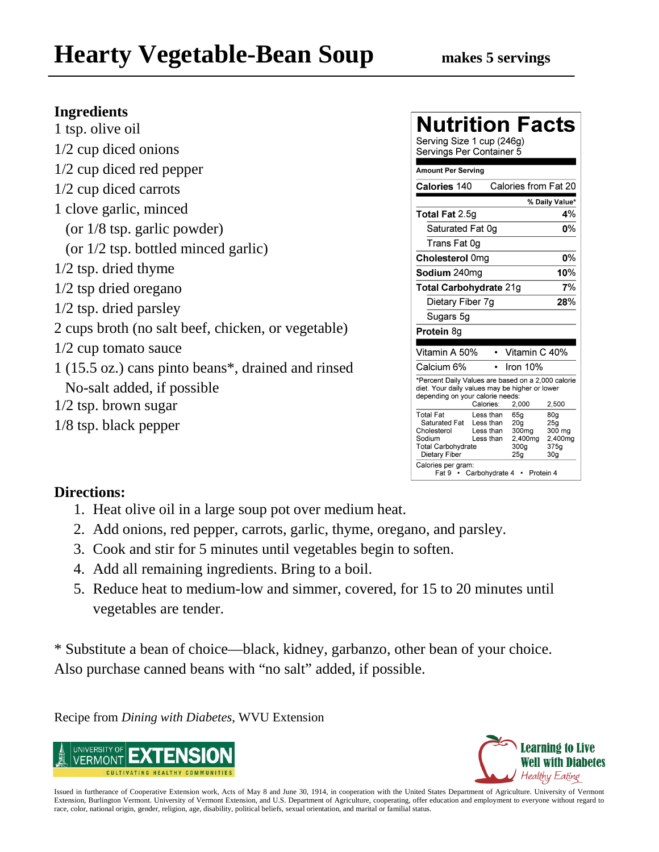# **Hearty Vegetable-Bean Soup makes 5 servings**

### **Ingredients**

| 1 tsp. olive oil                                   |
|----------------------------------------------------|
| $1/2$ cup diced onions                             |
| $1/2$ cup diced red pepper                         |
| 1/2 cup diced carrots                              |
| 1 clove garlic, minced                             |
| (or $1/8$ tsp. garlic powder)                      |
| (or $1/2$ tsp. bottled minced garlic)              |
| $1/2$ tsp. dried thyme                             |
| $1/2$ tsp dried oregano                            |
| $1/2$ tsp. dried parsley                           |
| 2 cups broth (no salt beef, chicken, or vegetable) |
| $1/2$ cup tomato sauce                             |
| 1 (15.5 oz.) cans pinto beans*, drained and rinsed |
| No-salt added, if possible                         |
| $1/2$ tsp. brown sugar                             |
| $1/8$ tsp. black pepper                            |
|                                                    |

### **Nutrition Facts**

Serving Size 1 cup (246g) Servings Per Container 5

| <b>Amount Per Serving</b>                                                                                                                |                                                                    |                                                                                   |                                                                         |
|------------------------------------------------------------------------------------------------------------------------------------------|--------------------------------------------------------------------|-----------------------------------------------------------------------------------|-------------------------------------------------------------------------|
| Calories 140                                                                                                                             |                                                                    |                                                                                   | Calories from Fat 20                                                    |
|                                                                                                                                          |                                                                    |                                                                                   | % Daily Value*                                                          |
| <b>Total Fat 2.5g</b>                                                                                                                    |                                                                    |                                                                                   | 4%                                                                      |
| Saturated Fat 0g                                                                                                                         |                                                                    |                                                                                   | 0%                                                                      |
| Trans Fat 0q                                                                                                                             |                                                                    |                                                                                   |                                                                         |
| Cholesterol 0mg                                                                                                                          |                                                                    |                                                                                   | 0%                                                                      |
| Sodium 240mg                                                                                                                             |                                                                    |                                                                                   | 10%                                                                     |
| Total Carbohydrate 21g                                                                                                                   |                                                                    |                                                                                   | 7%                                                                      |
| Dietary Fiber 7q                                                                                                                         |                                                                    |                                                                                   | 28%                                                                     |
| Sugars 5g                                                                                                                                |                                                                    |                                                                                   |                                                                         |
| Protein 8g                                                                                                                               |                                                                    |                                                                                   |                                                                         |
|                                                                                                                                          |                                                                    |                                                                                   |                                                                         |
| Vitamin A 50%                                                                                                                            |                                                                    | Vitamin C 40%                                                                     |                                                                         |
| Calcium 6%                                                                                                                               |                                                                    | Iron 10%                                                                          |                                                                         |
| *Percent Daily Values are based on a 2,000 calorie<br>diet. Your daily values may be higher or lower<br>depending on your calorie needs: | Calories:                                                          | 2,000                                                                             | 2,500                                                                   |
| <b>Total Fat</b><br>Saturated Fat<br>Cholesterol<br>Sodium<br><b>Total Carbohydrate</b><br>Dietary Fiber<br>Calories per gram:<br>Fat 9  | Less than<br>Less than<br>Less than<br>Less than<br>Carbohydrate 4 | 65g<br>20 <sub>q</sub><br>300 <sub>mg</sub><br>2,400mg<br>300g<br>25 <sub>q</sub> | 80q<br>25 <sub>g</sub><br>300 ma<br>2,400mg<br>375a<br>30g<br>Protein 4 |

### **Directions:**

- 1. Heat olive oil in a large soup pot over medium heat.
- 2. Add onions, red pepper, carrots, garlic, thyme, oregano, and parsley.
- 3. Cook and stir for 5 minutes until vegetables begin to soften.
- 4. Add all remaining ingredients. Bring to a boil.
- 5. Reduce heat to medium-low and simmer, covered, for 15 to 20 minutes until vegetables are tender.

\* Substitute a bean of choice—black, kidney, garbanzo, other bean of your choice. Also purchase canned beans with "no salt" added, if possible.

Recipe from *Dining with Diabetes*, WVU Extension



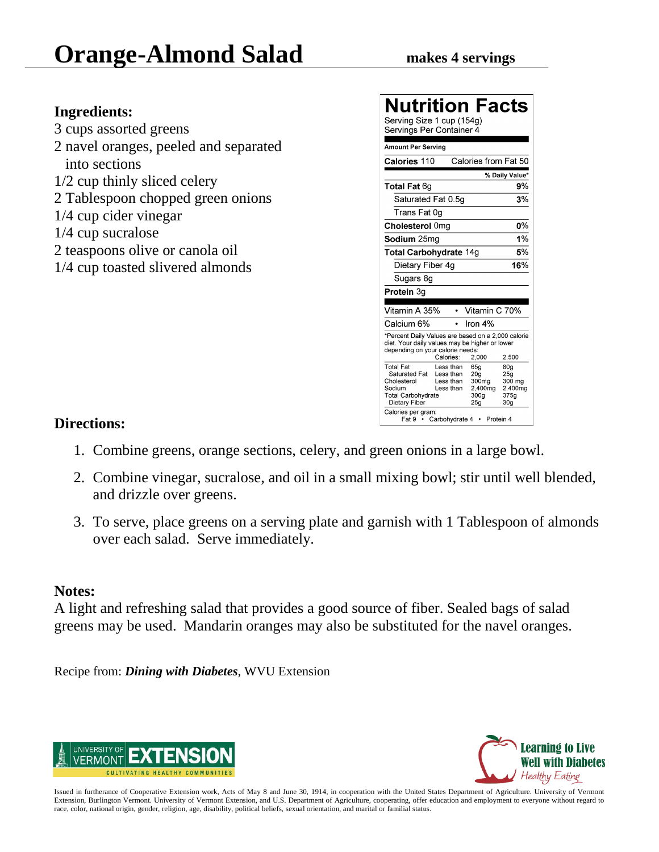# **Orange-Almond Salad** makes 4 servings

### **Ingredients:**

3 cups assorted greens 2 navel oranges, peeled and separated into sections 1/2 cup thinly sliced celery 2 Tablespoon chopped green onions 1/4 cup cider vinegar 1/4 cup sucralose 2 teaspoons olive or canola oil 1/4 cup toasted slivered almonds

| Nutrition Facts<br>Serving Size 1 cup (154g)<br>Servings Per Container 4                                                                                 |                                                  |                                                                                                  |                                                                                    |
|----------------------------------------------------------------------------------------------------------------------------------------------------------|--------------------------------------------------|--------------------------------------------------------------------------------------------------|------------------------------------------------------------------------------------|
| <b>Amount Per Serving</b>                                                                                                                                |                                                  |                                                                                                  |                                                                                    |
| Calories 110                                                                                                                                             |                                                  | Calories from Fat 50                                                                             |                                                                                    |
|                                                                                                                                                          |                                                  |                                                                                                  | % Daily Value*                                                                     |
| Total Fat 6g                                                                                                                                             |                                                  |                                                                                                  | 9%                                                                                 |
| Saturated Fat 0.5q                                                                                                                                       |                                                  |                                                                                                  | 3%                                                                                 |
| Trans Fat 0ɑ                                                                                                                                             |                                                  |                                                                                                  |                                                                                    |
| Cholesterol 0mg                                                                                                                                          |                                                  |                                                                                                  | 0%                                                                                 |
| <b>Sodium</b> 25ma                                                                                                                                       |                                                  |                                                                                                  | 1%                                                                                 |
| Total Carbohydrate 14g                                                                                                                                   |                                                  |                                                                                                  | 5%                                                                                 |
| Dietary Fiber 4g                                                                                                                                         |                                                  |                                                                                                  | 16%                                                                                |
| Sugars 8g                                                                                                                                                |                                                  |                                                                                                  |                                                                                    |
| Protein 3g                                                                                                                                               |                                                  |                                                                                                  |                                                                                    |
| Vitamin A 35%                                                                                                                                            |                                                  | Vitamin C 70%                                                                                    |                                                                                    |
| Calcium 6%                                                                                                                                               |                                                  | Iron $4%$                                                                                        |                                                                                    |
| *Percent Daily Values are based on a 2,000 calorie<br>diet. Your daily values may be higher or lower<br>depending on your calorie needs:                 | Calories:                                        | 2.000                                                                                            | 2,500                                                                              |
| <b>Total Fat</b><br>Saturated Fat<br>Cholesterol<br>Sodium<br><b>Total Carbohydrate</b><br>Dietary Fiber<br>Calories per gram:<br>Fat 9 • Carbohydrate 4 | Less than<br>Less than<br>Less than<br>Less than | 65a<br>20 <sub>q</sub><br>300mg<br>2.400mg<br>300 <sub>q</sub><br>25 <sub>q</sub><br>• Protein 4 | 80 <sub>a</sub><br>25 <sub>a</sub><br>300 mg<br>2,400mg<br>375q<br>30 <sub>g</sub> |

### **Directions:**

- 1. Combine greens, orange sections, celery, and green onions in a large bowl.
- 2. Combine vinegar, sucralose, and oil in a small mixing bowl; stir until well blended, and drizzle over greens.
- 3. To serve, place greens on a serving plate and garnish with 1 Tablespoon of almonds over each salad. Serve immediately.

### **Notes:**

A light and refreshing salad that provides a good source of fiber. Sealed bags of salad greens may be used. Mandarin oranges may also be substituted for the navel oranges.

Recipe from: *Dining with Diabetes*, WVU Extension



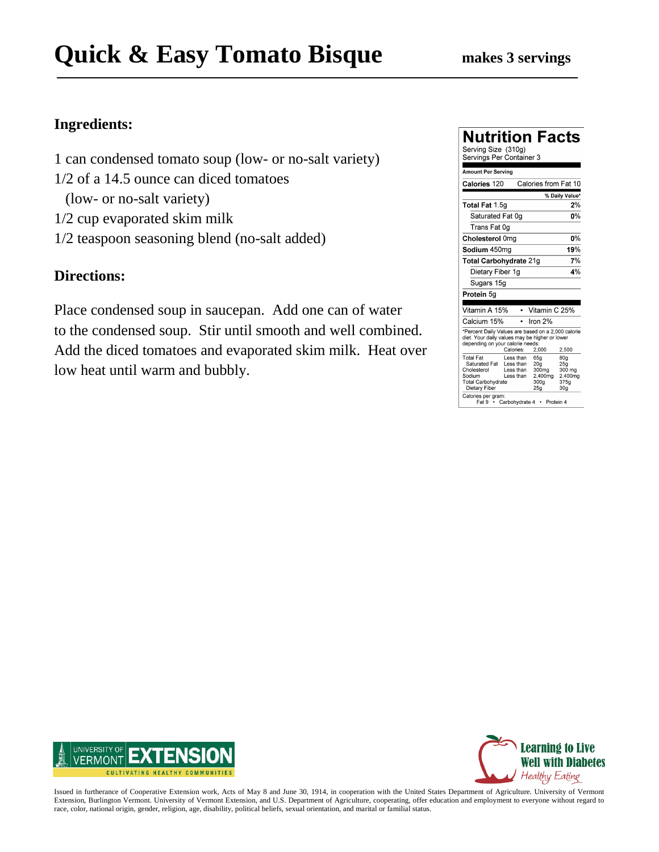# **Quick & Easy Tomato Bisque** makes 3 servings

### **Ingredients:**

- 1 can condensed tomato soup (low- or no-salt variety)
- 1/2 of a 14.5 ounce can diced tomatoes
	- (low- or no-salt variety)
- 1/2 cup evaporated skim milk
- 1/2 teaspoon seasoning blend (no-salt added)

### **Directions:**

Place condensed soup in saucepan. Add one can of water to the condensed soup. Stir until smooth and well combined. Add the diced tomatoes and evaporated skim milk. Heat over low heat until warm and bubbly.

| Nutrition Facts<br>Serving Size (310g)<br>Servings Per Container 3                                                                       |                                                                                         |                                                                       |                                                            |
|------------------------------------------------------------------------------------------------------------------------------------------|-----------------------------------------------------------------------------------------|-----------------------------------------------------------------------|------------------------------------------------------------|
| <b>Amount Per Serving</b>                                                                                                                |                                                                                         |                                                                       |                                                            |
| Calories 120                                                                                                                             |                                                                                         | Calories from Fat 10                                                  |                                                            |
|                                                                                                                                          |                                                                                         |                                                                       | % Daily Value*                                             |
| Total Fat 1.5g                                                                                                                           |                                                                                         |                                                                       | 2%                                                         |
| Saturated Fat 0g                                                                                                                         |                                                                                         |                                                                       | 0%                                                         |
| Trans Fat 0g                                                                                                                             |                                                                                         |                                                                       |                                                            |
| Cholesterol 0mg                                                                                                                          |                                                                                         |                                                                       | 0%                                                         |
| Sodium 450mg                                                                                                                             |                                                                                         |                                                                       | 19%                                                        |
| Total Carbohydrate 21g                                                                                                                   |                                                                                         |                                                                       | 7%                                                         |
| Dietary Fiber 1g                                                                                                                         |                                                                                         |                                                                       | 4%                                                         |
| Sugars 15g                                                                                                                               |                                                                                         |                                                                       |                                                            |
| Protein 5g                                                                                                                               |                                                                                         |                                                                       |                                                            |
| Vitamin A 15%                                                                                                                            |                                                                                         | • Vitamin C 25%                                                       |                                                            |
| Calcium 15%                                                                                                                              | $\bullet$                                                                               | Iron $2%$                                                             |                                                            |
| *Percent Daily Values are based on a 2,000 calorie<br>diet. Your daily values may be higher or lower<br>depending on your calorie needs: | Calories:                                                                               | 2,000                                                                 | 2,500                                                      |
| Total Fat<br>Saturated Fat<br>Cholesterol<br>Sodium<br><b>Total Carbohydrate</b><br>Dietary Fiber<br>Calories per gram:                  | Less than<br>I ess than<br>Less than<br>Less than<br>Fat 9 · Carbohydrate 4 · Protein 4 | 65a<br>20 <sub>q</sub><br>300mg<br>2,400mg<br>300 <sub>g</sub><br>25q | 80g<br>25g<br>300 mg<br>2.400mg<br>375g<br>30 <sub>q</sub> |



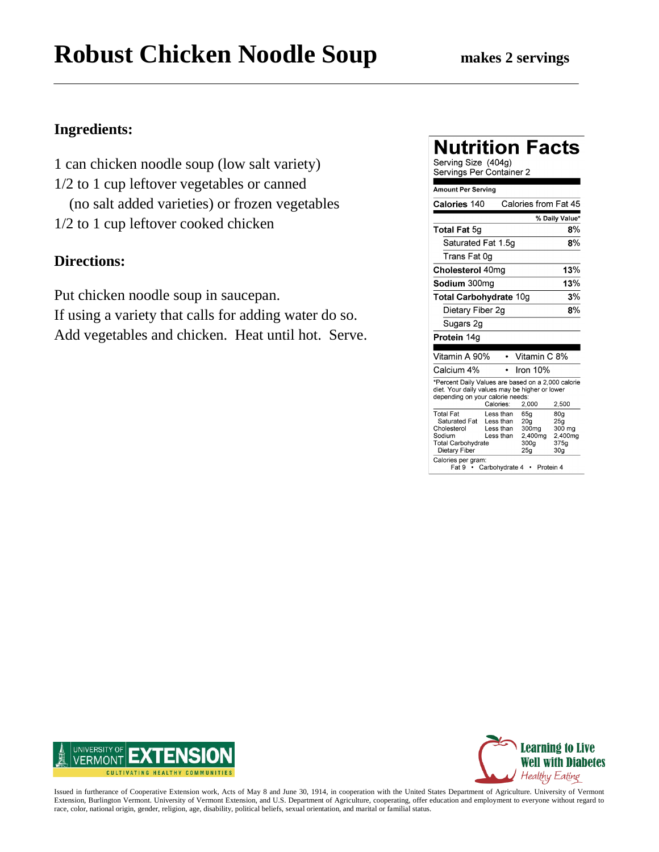# **Robust Chicken Noodle Soup** makes 2 servings

### **Ingredients:**

1 can chicken noodle soup (low salt variety) 1/2 to 1 cup leftover vegetables or canned (no salt added varieties) or frozen vegetables 1/2 to 1 cup leftover cooked chicken

### **Directions:**

Put chicken noodle soup in saucepan. If using a variety that calls for adding water do so. Add vegetables and chicken. Heat until hot. Serve.

| Nutrition Facts<br>Serving Size (404g)<br>Servings Per Container 2                                                                                                      |                                                                            |                                                                                    |                                                            |  |
|-------------------------------------------------------------------------------------------------------------------------------------------------------------------------|----------------------------------------------------------------------------|------------------------------------------------------------------------------------|------------------------------------------------------------|--|
| Amount Per Serving                                                                                                                                                      |                                                                            |                                                                                    |                                                            |  |
| Calories 140                                                                                                                                                            |                                                                            | Calories from Fat 45                                                               |                                                            |  |
|                                                                                                                                                                         |                                                                            |                                                                                    | % Daily Value*                                             |  |
| <b>Total Fat 5g</b>                                                                                                                                                     |                                                                            |                                                                                    | 8%                                                         |  |
| Saturated Fat 1.5q                                                                                                                                                      |                                                                            |                                                                                    | 8%                                                         |  |
| Trans Fat 0g                                                                                                                                                            |                                                                            |                                                                                    |                                                            |  |
| Cholesterol 40mg                                                                                                                                                        |                                                                            |                                                                                    | 13%                                                        |  |
| Sodium 300mg                                                                                                                                                            |                                                                            |                                                                                    | 13%                                                        |  |
| <b>Total Carbohydrate 10g</b>                                                                                                                                           |                                                                            |                                                                                    | 3%                                                         |  |
| Dietary Fiber 2g                                                                                                                                                        |                                                                            |                                                                                    | 8%                                                         |  |
| Sugars 2g                                                                                                                                                               |                                                                            |                                                                                    |                                                            |  |
| Protein 14g                                                                                                                                                             |                                                                            |                                                                                    |                                                            |  |
| Vitamin A 90%                                                                                                                                                           |                                                                            | Vitamin C 8%                                                                       |                                                            |  |
| Calcium 4%                                                                                                                                                              |                                                                            | Iron 10%                                                                           |                                                            |  |
| *Percent Daily Values are based on a 2,000 calorie<br>diet. Your daily values may be higher or lower<br>depending on your calorie needs:<br>Calories:<br>2,000<br>2,500 |                                                                            |                                                                                    |                                                            |  |
| <b>Total Fat</b><br>Saturated Fat<br>Cholesterol<br>Sodium<br><b>Total Carbohydrate</b><br>Dietary Fiber<br>Calories per gram:                                          | Less than<br>Less than<br>Less than<br>Less than<br>Fat 9 • Carbohydrate 4 | 65g<br>20a<br>300 <sub>mg</sub><br>2,400mg<br>300 <sub>g</sub><br>25g<br>Protein 4 | 80g<br>25g<br>300 mg<br>2,400mg<br>375g<br>30 <sub>q</sub> |  |



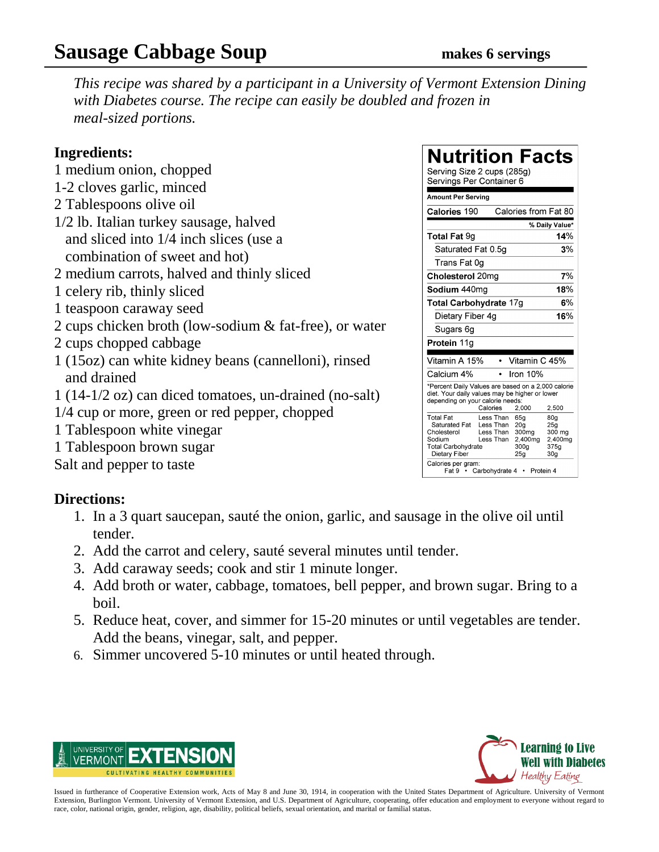### **Sausage Cabbage Soup makes 6 servings**

*This recipe was shared by a participant in a University of Vermont Extension Dining with Diabetes course. The recipe can easily be doubled and frozen in meal-sized portions.*

### **Ingredients:**

- 1 medium onion, chopped
- 1-2 cloves garlic, minced
- 2 Tablespoons olive oil
- 1/2 lb. Italian turkey sausage, halved and sliced into 1/4 inch slices (use a combination of sweet and hot)
- 2 medium carrots, halved and thinly sliced
- 1 celery rib, thinly sliced
- 1 teaspoon caraway seed
- 2 cups chicken broth (low-sodium & fat-free), or water
- 2 cups chopped cabbage
- 1 (15oz) can white kidney beans (cannelloni), rinsed and drained
- 1 (14-1/2 oz) can diced tomatoes, un-drained (no-salt)
- 1/4 cup or more, green or red pepper, chopped
- 1 Tablespoon white vinegar
- 1 Tablespoon brown sugar

Salt and pepper to taste

### **Directions:**

- 1. In a 3 quart saucepan, sauté the onion, garlic, and sausage in the olive oil until tender.
- 2. Add the carrot and celery, sauté several minutes until tender.
- 3. Add caraway seeds; cook and stir 1 minute longer.
- 4. Add broth or water, cabbage, tomatoes, bell pepper, and brown sugar. Bring to a boil.
- 5. Reduce heat, cover, and simmer for 15-20 minutes or until vegetables are tender. Add the beans, vinegar, salt, and pepper.
- 6. Simmer uncovered 5-10 minutes or until heated through.





| <b>Nutrition Facts</b>                                                                                                                   |                                                              |                                                                                |                                                                     |
|------------------------------------------------------------------------------------------------------------------------------------------|--------------------------------------------------------------|--------------------------------------------------------------------------------|---------------------------------------------------------------------|
| Serving Size 2 cups (285g)<br>Servings Per Container 6                                                                                   |                                                              |                                                                                |                                                                     |
| <b>Amount Per Serving</b>                                                                                                                |                                                              |                                                                                |                                                                     |
| Calories 190                                                                                                                             |                                                              | Calories from Fat 80                                                           |                                                                     |
|                                                                                                                                          |                                                              |                                                                                | % Daily Value*                                                      |
| <b>Total Fat 9g</b>                                                                                                                      |                                                              |                                                                                | 14%                                                                 |
| Saturated Fat 0.5g                                                                                                                       |                                                              |                                                                                | 3%                                                                  |
| Trans Fat 0q                                                                                                                             |                                                              |                                                                                |                                                                     |
| Cholesterol 20mg                                                                                                                         |                                                              |                                                                                | 7%                                                                  |
| <b>Sodium 440</b> ma                                                                                                                     |                                                              |                                                                                | 18%                                                                 |
| Total Carbohydrate 17g                                                                                                                   |                                                              |                                                                                | 6%                                                                  |
| Dietary Fiber 4g                                                                                                                         |                                                              |                                                                                | 16%                                                                 |
| Sugars 6g                                                                                                                                |                                                              |                                                                                |                                                                     |
| Protein 11g                                                                                                                              |                                                              |                                                                                |                                                                     |
| Vitamin A 15%                                                                                                                            |                                                              | Vitamin C 45%                                                                  |                                                                     |
| Calcium 4%                                                                                                                               |                                                              | Iron 10%                                                                       |                                                                     |
| *Percent Daily Values are based on a 2,000 calorie<br>diet. Your daily values may be higher or lower<br>depending on your calorie needs: |                                                              |                                                                                |                                                                     |
| <b>Total Fat</b><br>Saturated Fat<br>Cholesterol<br>Sodium<br><b>Total Carbohydrate</b><br>Dietary Fiber<br>Calories per gram:           | Calories<br>Less Than<br>Less Than<br>Less Than<br>Less Than | 2.000<br>65a<br>20a<br>300 <sub>mq</sub><br>2.400mg<br>300a<br>25 <sub>q</sub> | 2,500<br>80a<br>25a<br>300 mg<br>2.400mg<br>375a<br>30 <sub>g</sub> |
| Fat 9                                                                                                                                    | Carbohydrate 4                                               |                                                                                | Protein 4                                                           |